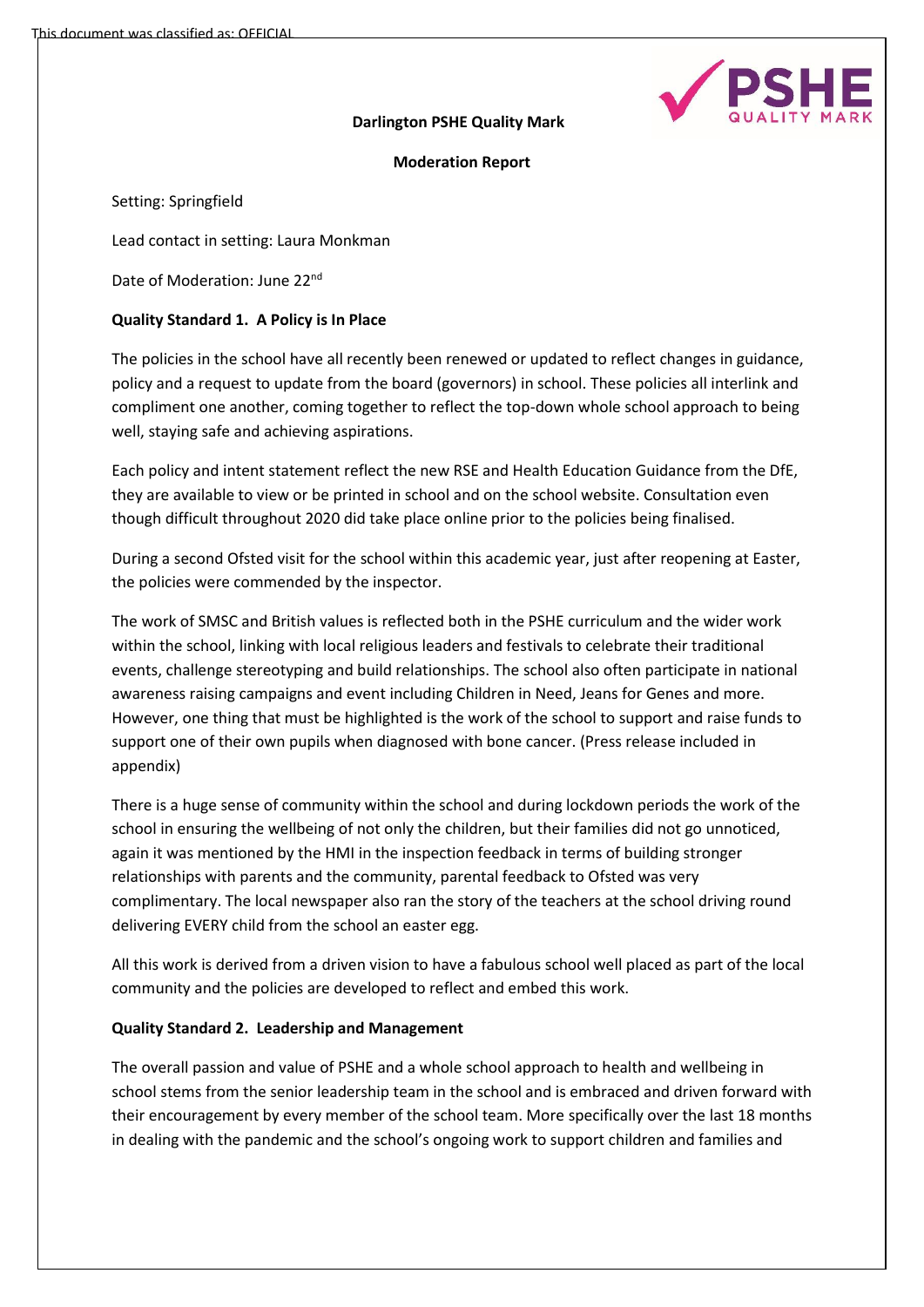

## **Darlington PSHE Quality Mark**

## **Moderation Report**

Setting: Springfield

Lead contact in setting: Laura Monkman

Date of Moderation: June 22nd

# **Quality Standard 1. A Policy is In Place**

The policies in the school have all recently been renewed or updated to reflect changes in guidance, policy and a request to update from the board (governors) in school. These policies all interlink and compliment one another, coming together to reflect the top-down whole school approach to being well, staying safe and achieving aspirations.

Each policy and intent statement reflect the new RSE and Health Education Guidance from the DfE, they are available to view or be printed in school and on the school website. Consultation even though difficult throughout 2020 did take place online prior to the policies being finalised.

During a second Ofsted visit for the school within this academic year, just after reopening at Easter, the policies were commended by the inspector.

The work of SMSC and British values is reflected both in the PSHE curriculum and the wider work within the school, linking with local religious leaders and festivals to celebrate their traditional events, challenge stereotyping and build relationships. The school also often participate in national awareness raising campaigns and event including Children in Need, Jeans for Genes and more. However, one thing that must be highlighted is the work of the school to support and raise funds to support one of their own pupils when diagnosed with bone cancer. (Press release included in appendix)

There is a huge sense of community within the school and during lockdown periods the work of the school in ensuring the wellbeing of not only the children, but their families did not go unnoticed, again it was mentioned by the HMI in the inspection feedback in terms of building stronger relationships with parents and the community, parental feedback to Ofsted was very complimentary. The local newspaper also ran the story of the teachers at the school driving round delivering EVERY child from the school an easter egg.

All this work is derived from a driven vision to have a fabulous school well placed as part of the local community and the policies are developed to reflect and embed this work.

# **Quality Standard 2. Leadership and Management**

The overall passion and value of PSHE and a whole school approach to health and wellbeing in school stems from the senior leadership team in the school and is embraced and driven forward with their encouragement by every member of the school team. More specifically over the last 18 months in dealing with the pandemic and the school's ongoing work to support children and families and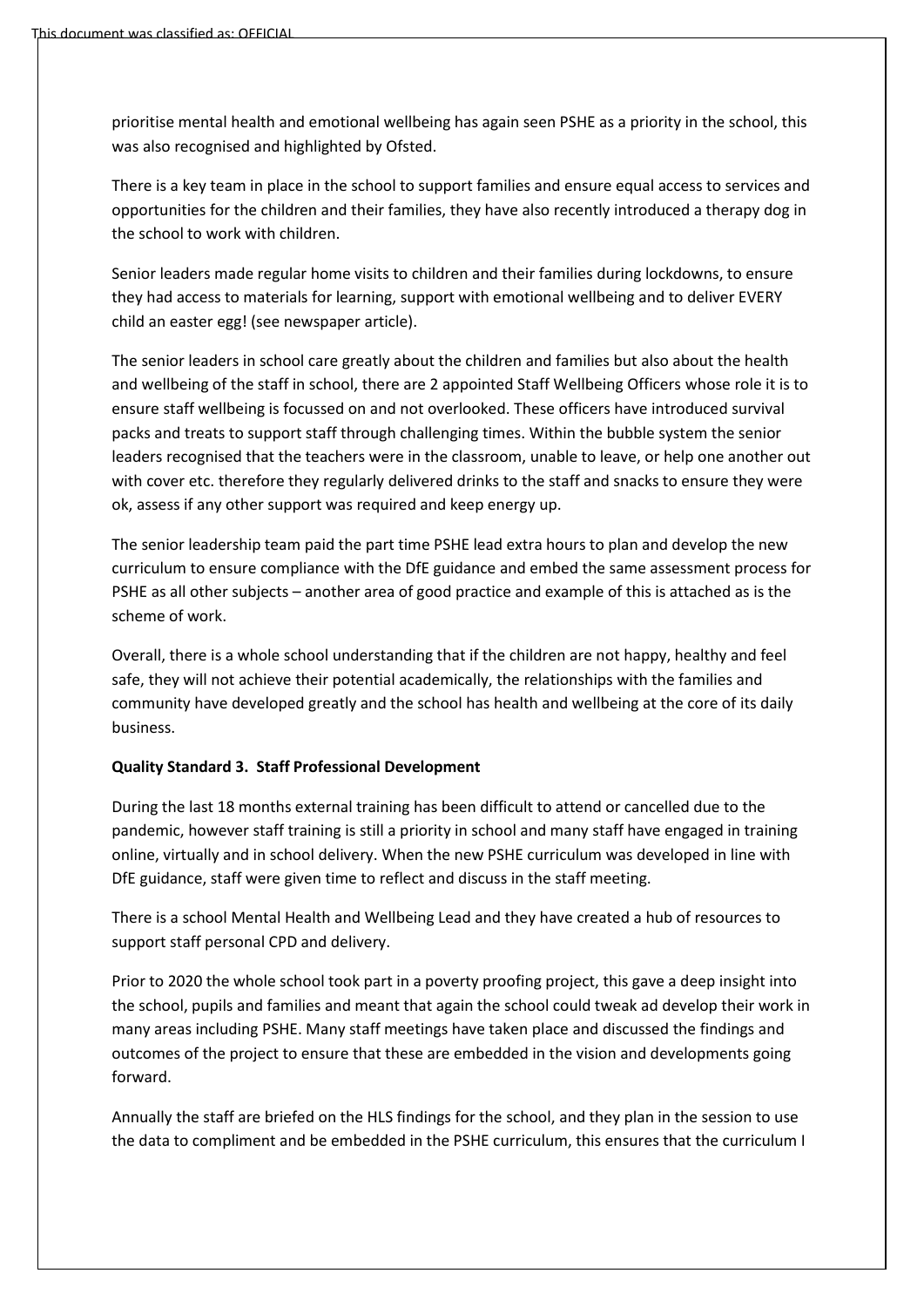prioritise mental health and emotional wellbeing has again seen PSHE as a priority in the school, this was also recognised and highlighted by Ofsted.

There is a key team in place in the school to support families and ensure equal access to services and opportunities for the children and their families, they have also recently introduced a therapy dog in the school to work with children.

Senior leaders made regular home visits to children and their families during lockdowns, to ensure they had access to materials for learning, support with emotional wellbeing and to deliver EVERY child an easter egg! (see newspaper article).

The senior leaders in school care greatly about the children and families but also about the health and wellbeing of the staff in school, there are 2 appointed Staff Wellbeing Officers whose role it is to ensure staff wellbeing is focussed on and not overlooked. These officers have introduced survival packs and treats to support staff through challenging times. Within the bubble system the senior leaders recognised that the teachers were in the classroom, unable to leave, or help one another out with cover etc. therefore they regularly delivered drinks to the staff and snacks to ensure they were ok, assess if any other support was required and keep energy up.

The senior leadership team paid the part time PSHE lead extra hours to plan and develop the new curriculum to ensure compliance with the DfE guidance and embed the same assessment process for PSHE as all other subjects – another area of good practice and example of this is attached as is the scheme of work.

Overall, there is a whole school understanding that if the children are not happy, healthy and feel safe, they will not achieve their potential academically, the relationships with the families and community have developed greatly and the school has health and wellbeing at the core of its daily business.

#### **Quality Standard 3. Staff Professional Development**

During the last 18 months external training has been difficult to attend or cancelled due to the pandemic, however staff training is still a priority in school and many staff have engaged in training online, virtually and in school delivery. When the new PSHE curriculum was developed in line with DfE guidance, staff were given time to reflect and discuss in the staff meeting.

There is a school Mental Health and Wellbeing Lead and they have created a hub of resources to support staff personal CPD and delivery.

Prior to 2020 the whole school took part in a poverty proofing project, this gave a deep insight into the school, pupils and families and meant that again the school could tweak ad develop their work in many areas including PSHE. Many staff meetings have taken place and discussed the findings and outcomes of the project to ensure that these are embedded in the vision and developments going forward.

Annually the staff are briefed on the HLS findings for the school, and they plan in the session to use the data to compliment and be embedded in the PSHE curriculum, this ensures that the curriculum I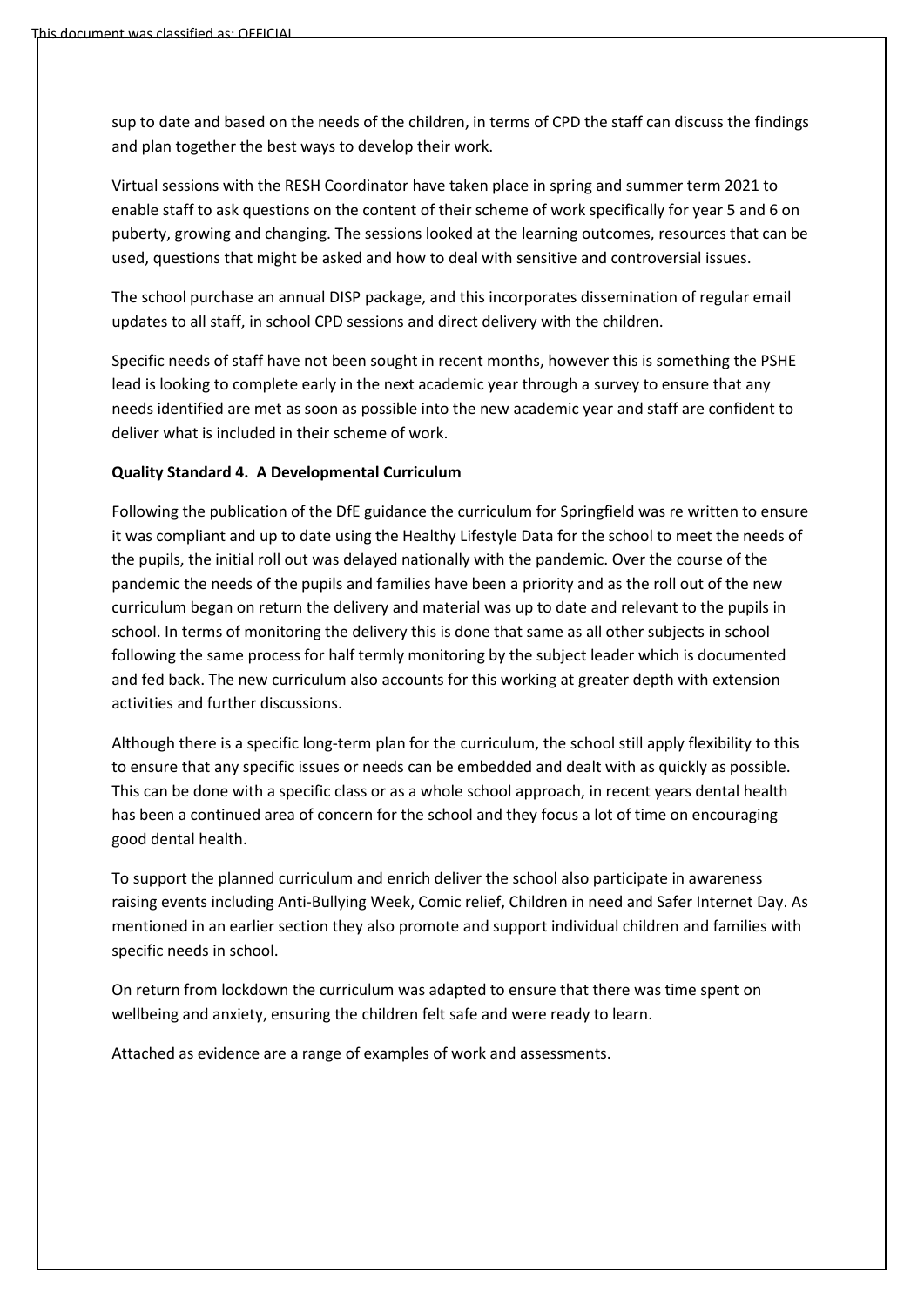sup to date and based on the needs of the children, in terms of CPD the staff can discuss the findings and plan together the best ways to develop their work.

Virtual sessions with the RESH Coordinator have taken place in spring and summer term 2021 to enable staff to ask questions on the content of their scheme of work specifically for year 5 and 6 on puberty, growing and changing. The sessions looked at the learning outcomes, resources that can be used, questions that might be asked and how to deal with sensitive and controversial issues.

The school purchase an annual DISP package, and this incorporates dissemination of regular email updates to all staff, in school CPD sessions and direct delivery with the children.

Specific needs of staff have not been sought in recent months, however this is something the PSHE lead is looking to complete early in the next academic year through a survey to ensure that any needs identified are met as soon as possible into the new academic year and staff are confident to deliver what is included in their scheme of work.

#### **Quality Standard 4. A Developmental Curriculum**

Following the publication of the DfE guidance the curriculum for Springfield was re written to ensure it was compliant and up to date using the Healthy Lifestyle Data for the school to meet the needs of the pupils, the initial roll out was delayed nationally with the pandemic. Over the course of the pandemic the needs of the pupils and families have been a priority and as the roll out of the new curriculum began on return the delivery and material was up to date and relevant to the pupils in school. In terms of monitoring the delivery this is done that same as all other subjects in school following the same process for half termly monitoring by the subject leader which is documented and fed back. The new curriculum also accounts for this working at greater depth with extension activities and further discussions.

Although there is a specific long-term plan for the curriculum, the school still apply flexibility to this to ensure that any specific issues or needs can be embedded and dealt with as quickly as possible. This can be done with a specific class or as a whole school approach, in recent years dental health has been a continued area of concern for the school and they focus a lot of time on encouraging good dental health.

To support the planned curriculum and enrich deliver the school also participate in awareness raising events including Anti-Bullying Week, Comic relief, Children in need and Safer Internet Day. As mentioned in an earlier section they also promote and support individual children and families with specific needs in school.

On return from lockdown the curriculum was adapted to ensure that there was time spent on wellbeing and anxiety, ensuring the children felt safe and were ready to learn.

Attached as evidence are a range of examples of work and assessments.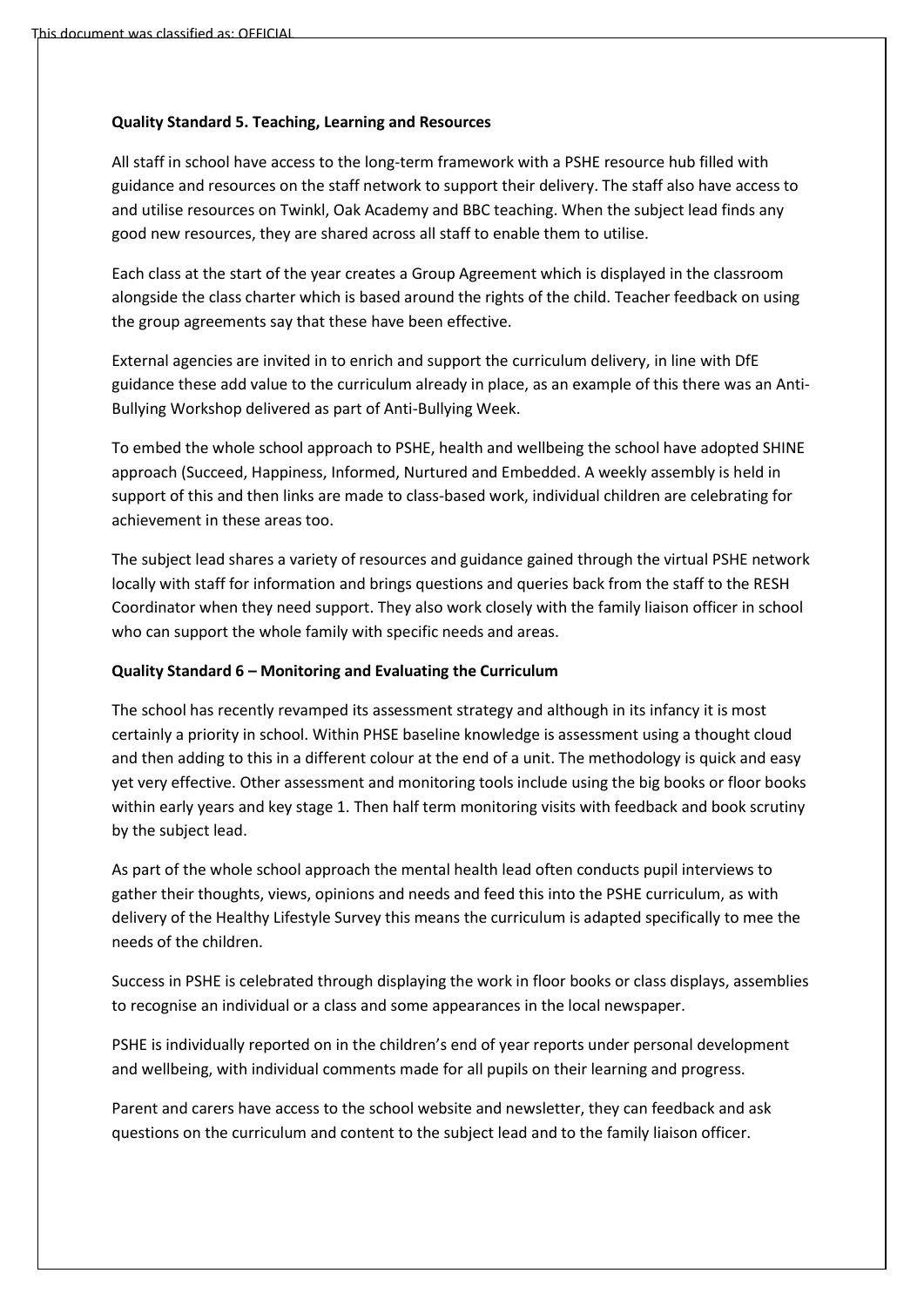## **Quality Standard 5. Teaching, Learning and Resources**

All staff in school have access to the long-term framework with a PSHE resource hub filled with guidance and resources on the staff network to support their delivery. The staff also have access to and utilise resources on Twinkl, Oak Academy and BBC teaching. When the subject lead finds any good new resources, they are shared across all staff to enable them to utilise.

Each class at the start of the year creates a Group Agreement which is displayed in the classroom alongside the class charter which is based around the rights of the child. Teacher feedback on using the group agreements say that these have been effective.

External agencies are invited in to enrich and support the curriculum delivery, in line with DfE guidance these add value to the curriculum already in place, as an example of this there was an Anti-Bullying Workshop delivered as part of Anti-Bullying Week.

To embed the whole school approach to PSHE, health and wellbeing the school have adopted SHINE approach (Succeed, Happiness, Informed, Nurtured and Embedded. A weekly assembly is held in support of this and then links are made to class-based work, individual children are celebrating for achievement in these areas too.

The subject lead shares a variety of resources and guidance gained through the virtual PSHE network locally with staff for information and brings questions and queries back from the staff to the RESH Coordinator when they need support. They also work closely with the family liaison officer in school who can support the whole family with specific needs and areas.

#### **Quality Standard 6 – Monitoring and Evaluating the Curriculum**

The school has recently revamped its assessment strategy and although in its infancy it is most certainly a priority in school. Within PHSE baseline knowledge is assessment using a thought cloud and then adding to this in a different colour at the end of a unit. The methodology is quick and easy yet very effective. Other assessment and monitoring tools include using the big books or floor books within early years and key stage 1. Then half term monitoring visits with feedback and book scrutiny by the subject lead.

As part of the whole school approach the mental health lead often conducts pupil interviews to gather their thoughts, views, opinions and needs and feed this into the PSHE curriculum, as with delivery of the Healthy Lifestyle Survey this means the curriculum is adapted specifically to mee the needs of the children.

Success in PSHE is celebrated through displaying the work in floor books or class displays, assemblies to recognise an individual or a class and some appearances in the local newspaper.

PSHE is individually reported on in the children's end of year reports under personal development and wellbeing, with individual comments made for all pupils on their learning and progress.

Parent and carers have access to the school website and newsletter, they can feedback and ask questions on the curriculum and content to the subject lead and to the family liaison officer.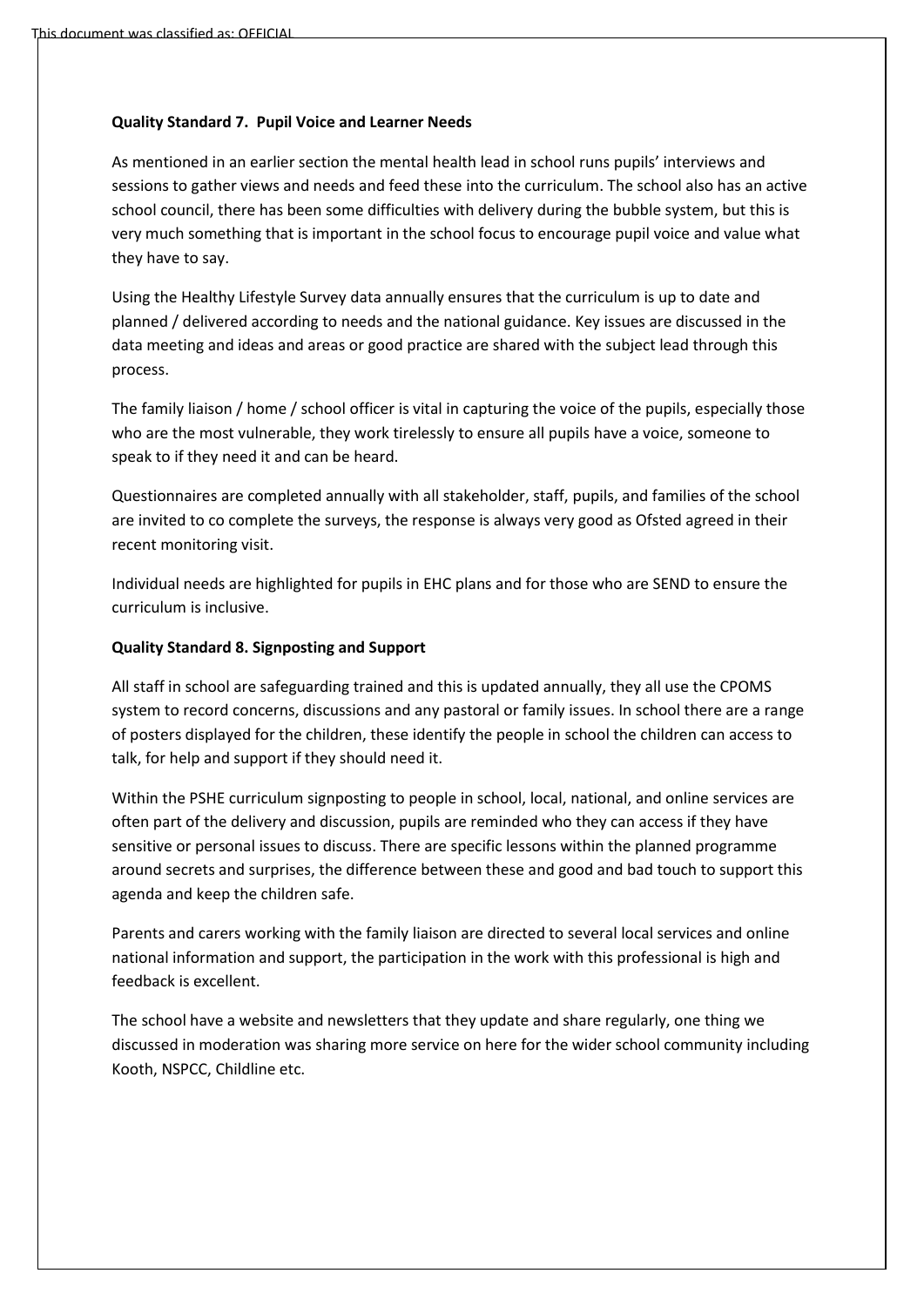### **Quality Standard 7. Pupil Voice and Learner Needs**

As mentioned in an earlier section the mental health lead in school runs pupils' interviews and sessions to gather views and needs and feed these into the curriculum. The school also has an active school council, there has been some difficulties with delivery during the bubble system, but this is very much something that is important in the school focus to encourage pupil voice and value what they have to say.

Using the Healthy Lifestyle Survey data annually ensures that the curriculum is up to date and planned / delivered according to needs and the national guidance. Key issues are discussed in the data meeting and ideas and areas or good practice are shared with the subject lead through this process.

The family liaison / home / school officer is vital in capturing the voice of the pupils, especially those who are the most vulnerable, they work tirelessly to ensure all pupils have a voice, someone to speak to if they need it and can be heard.

Questionnaires are completed annually with all stakeholder, staff, pupils, and families of the school are invited to co complete the surveys, the response is always very good as Ofsted agreed in their recent monitoring visit.

Individual needs are highlighted for pupils in EHC plans and for those who are SEND to ensure the curriculum is inclusive.

#### **Quality Standard 8. Signposting and Support**

All staff in school are safeguarding trained and this is updated annually, they all use the CPOMS system to record concerns, discussions and any pastoral or family issues. In school there are a range of posters displayed for the children, these identify the people in school the children can access to talk, for help and support if they should need it.

Within the PSHE curriculum signposting to people in school, local, national, and online services are often part of the delivery and discussion, pupils are reminded who they can access if they have sensitive or personal issues to discuss. There are specific lessons within the planned programme around secrets and surprises, the difference between these and good and bad touch to support this agenda and keep the children safe.

Parents and carers working with the family liaison are directed to several local services and online national information and support, the participation in the work with this professional is high and feedback is excellent.

The school have a website and newsletters that they update and share regularly, one thing we discussed in moderation was sharing more service on here for the wider school community including Kooth, NSPCC, Childline etc.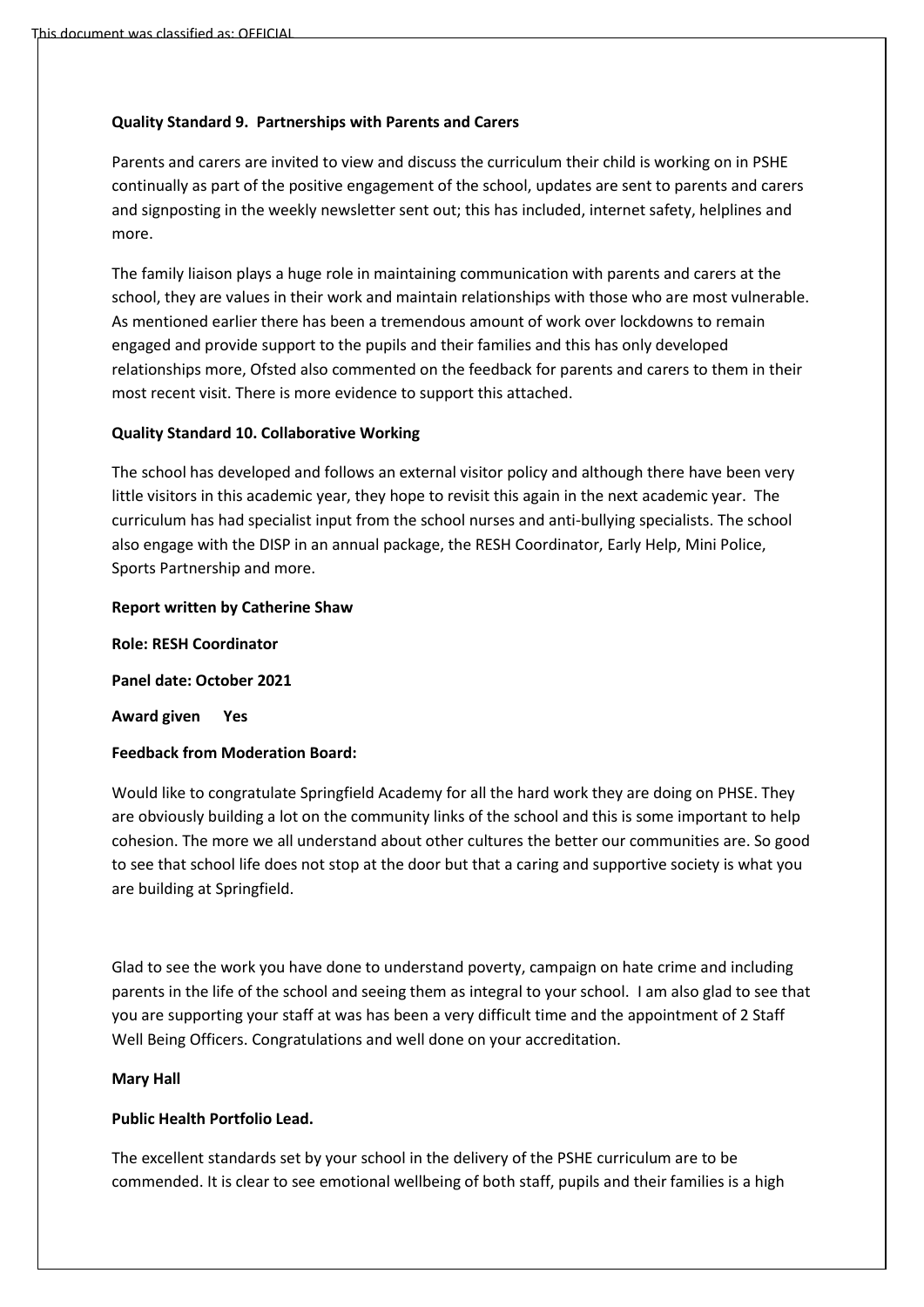## **Quality Standard 9. Partnerships with Parents and Carers**

Parents and carers are invited to view and discuss the curriculum their child is working on in PSHE continually as part of the positive engagement of the school, updates are sent to parents and carers and signposting in the weekly newsletter sent out; this has included, internet safety, helplines and more.

The family liaison plays a huge role in maintaining communication with parents and carers at the school, they are values in their work and maintain relationships with those who are most vulnerable. As mentioned earlier there has been a tremendous amount of work over lockdowns to remain engaged and provide support to the pupils and their families and this has only developed relationships more, Ofsted also commented on the feedback for parents and carers to them in their most recent visit. There is more evidence to support this attached.

## **Quality Standard 10. Collaborative Working**

The school has developed and follows an external visitor policy and although there have been very little visitors in this academic year, they hope to revisit this again in the next academic year. The curriculum has had specialist input from the school nurses and anti-bullying specialists. The school also engage with the DISP in an annual package, the RESH Coordinator, Early Help, Mini Police, Sports Partnership and more.

#### **Report written by Catherine Shaw**

**Role: RESH Coordinator** 

**Panel date: October 2021**

**Award given Yes**

#### **Feedback from Moderation Board:**

Would like to congratulate Springfield Academy for all the hard work they are doing on PHSE. They are obviously building a lot on the community links of the school and this is some important to help cohesion. The more we all understand about other cultures the better our communities are. So good to see that school life does not stop at the door but that a caring and supportive society is what you are building at Springfield.

Glad to see the work you have done to understand poverty, campaign on hate crime and including parents in the life of the school and seeing them as integral to your school. I am also glad to see that you are supporting your staff at was has been a very difficult time and the appointment of 2 Staff Well Being Officers. Congratulations and well done on your accreditation.

#### **Mary Hall**

# **Public Health Portfolio Lead.**

The excellent standards set by your school in the delivery of the PSHE curriculum are to be commended. It is clear to see emotional wellbeing of both staff, pupils and their families is a high